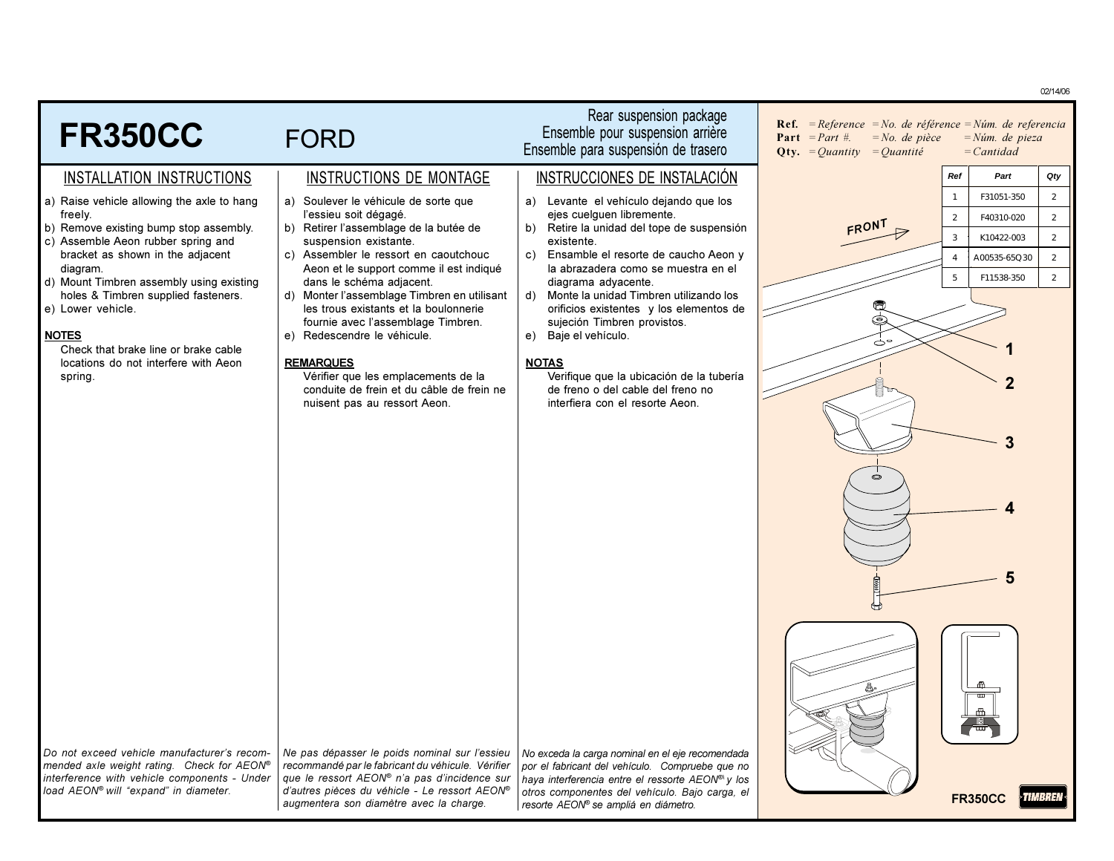02/14/06